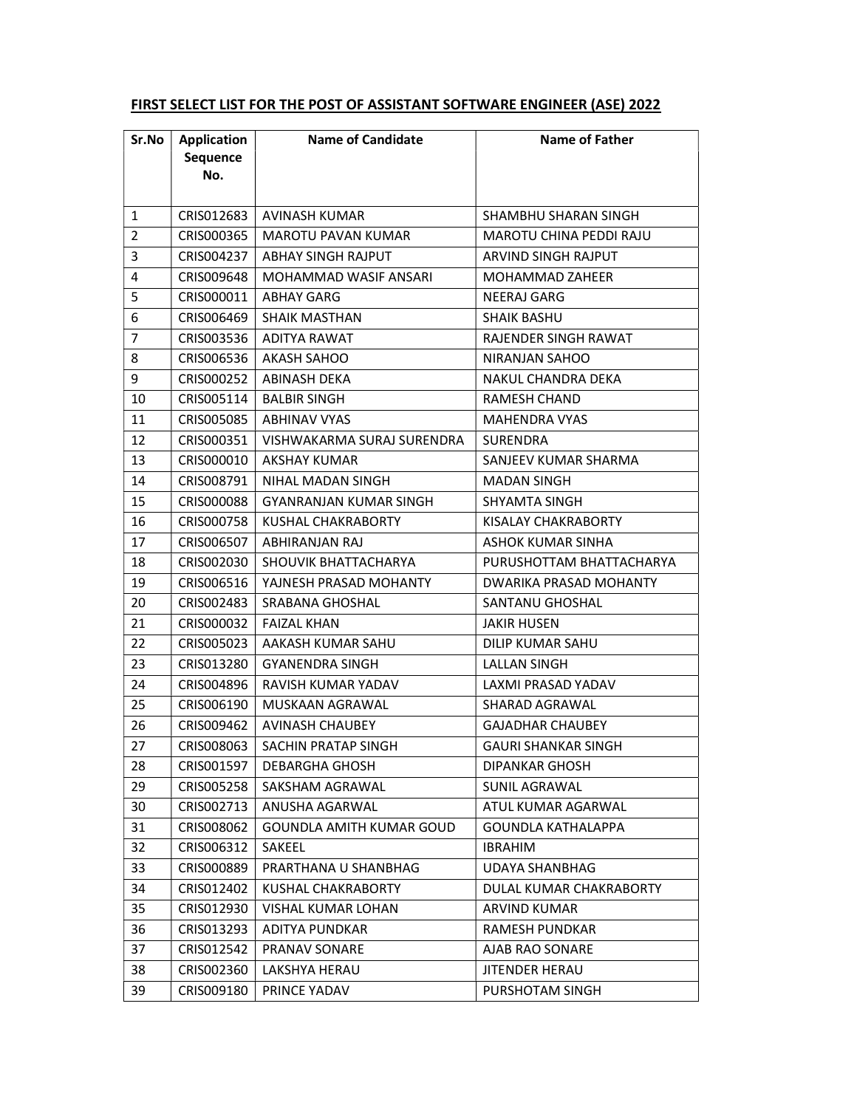| Sr.No          | <b>Application</b><br>Sequence<br>No. | <b>Name of Candidate</b>        | <b>Name of Father</b>      |
|----------------|---------------------------------------|---------------------------------|----------------------------|
| 1              | CRIS012683                            | AVINASH KUMAR                   | SHAMBHU SHARAN SINGH       |
| $\overline{2}$ | CRIS000365                            | <b>MAROTU PAVAN KUMAR</b>       | MAROTU CHINA PEDDI RAJU    |
| 3              | CRIS004237                            | <b>ABHAY SINGH RAJPUT</b>       | <b>ARVIND SINGH RAJPUT</b> |
| 4              | CRIS009648                            | MOHAMMAD WASIF ANSARI           | MOHAMMAD ZAHEER            |
| 5              | CRIS000011                            | ABHAY GARG                      | NEERAJ GARG                |
| 6              | CRIS006469                            | <b>SHAIK MASTHAN</b>            | <b>SHAIK BASHU</b>         |
| $\overline{7}$ | CRIS003536                            | ADITYA RAWAT                    | RAJENDER SINGH RAWAT       |
| 8              | CRIS006536                            | <b>AKASH SAHOO</b>              | NIRANJAN SAHOO             |
| 9              | CRIS000252                            | ABINASH DEKA                    | NAKUL CHANDRA DEKA         |
| 10             | CRIS005114                            | <b>BALBIR SINGH</b>             | <b>RAMESH CHAND</b>        |
| 11             | CRIS005085                            | <b>ABHINAV VYAS</b>             | <b>MAHENDRA VYAS</b>       |
| 12             | CRIS000351                            | VISHWAKARMA SURAJ SURENDRA      | <b>SURENDRA</b>            |
| 13             | CRIS000010                            | AKSHAY KUMAR                    | SANJEEV KUMAR SHARMA       |
| 14             | CRIS008791                            | NIHAL MADAN SINGH               | <b>MADAN SINGH</b>         |
| 15             | CRIS000088                            | GYANRANJAN KUMAR SINGH          | SHYAMTA SINGH              |
| 16             | CRIS000758                            | KUSHAL CHAKRABORTY              | KISALAY CHAKRABORTY        |
| 17             | CRIS006507                            | ABHIRANJAN RAJ                  | ASHOK KUMAR SINHA          |
| 18             | CRIS002030                            | SHOUVIK BHATTACHARYA            | PURUSHOTTAM BHATTACHARYA   |
| 19             | CRIS006516                            | YAJNESH PRASAD MOHANTY          | DWARIKA PRASAD MOHANTY     |
| 20             | CRIS002483                            | SRABANA GHOSHAL                 | SANTANU GHOSHAL            |
| 21             | CRIS000032                            | <b>FAIZAL KHAN</b>              | <b>JAKIR HUSEN</b>         |
| 22             | CRIS005023                            | AAKASH KUMAR SAHU               | DILIP KUMAR SAHU           |
| 23             | CRIS013280                            | <b>GYANENDRA SINGH</b>          | <b>LALLAN SINGH</b>        |
| 24             | CRIS004896                            | RAVISH KUMAR YADAV              | LAXMI PRASAD YADAV         |
| 25             | CRIS006190                            | MUSKAAN AGRAWAL                 | SHARAD AGRAWAL             |
| 26             | CRIS009462                            | AVINASH CHAUBEY                 | <b>GAJADHAR CHAUBEY</b>    |
| 27             | CRIS008063                            | SACHIN PRATAP SINGH             | <b>GAURI SHANKAR SINGH</b> |
| 28             | CRIS001597                            | DEBARGHA GHOSH                  | DIPANKAR GHOSH             |
| 29             | CRIS005258                            | SAKSHAM AGRAWAL                 | SUNIL AGRAWAL              |
| 30             | CRIS002713                            | ANUSHA AGARWAL                  | ATUL KUMAR AGARWAL         |
| 31             | CRIS008062                            | <b>GOUNDLA AMITH KUMAR GOUD</b> | <b>GOUNDLA KATHALAPPA</b>  |
| 32             | CRIS006312                            | SAKEEL                          | <b>IBRAHIM</b>             |
| 33             | CRIS000889                            | PRARTHANA U SHANBHAG            | <b>UDAYA SHANBHAG</b>      |
| 34             | CRIS012402                            | KUSHAL CHAKRABORTY              | DULAL KUMAR CHAKRABORTY    |
| 35             | CRIS012930                            | VISHAL KUMAR LOHAN              | <b>ARVIND KUMAR</b>        |
| 36             | CRIS013293                            | <b>ADITYA PUNDKAR</b>           | RAMESH PUNDKAR             |
| 37             | CRIS012542                            | PRANAV SONARE                   | AJAB RAO SONARE            |
| 38             | CRIS002360                            | LAKSHYA HERAU                   | JITENDER HERAU             |
| 39             | CRIS009180                            | PRINCE YADAV                    | PURSHOTAM SINGH            |

## FIRST SELECT LIST FOR THE POST OF ASSISTANT SOFTWARE ENGINEER (ASE) 2022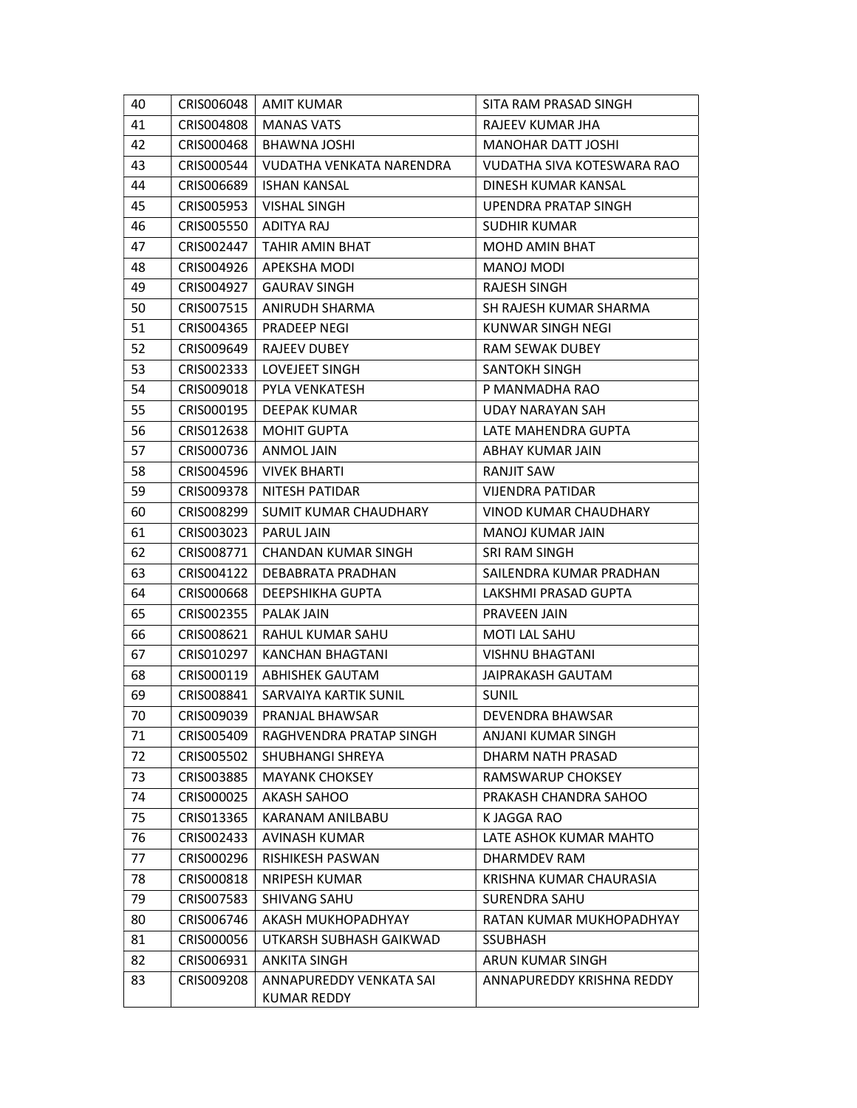| 40 | CRIS006048 | <b>AMIT KUMAR</b>          | SITA RAM PRASAD SINGH      |
|----|------------|----------------------------|----------------------------|
| 41 | CRIS004808 | <b>MANAS VATS</b>          | RAJEEV KUMAR JHA           |
| 42 | CRIS000468 | BHAWNA JOSHI               | <b>MANOHAR DATT JOSHI</b>  |
| 43 | CRIS000544 | VUDATHA VENKATA NARENDRA   | VUDATHA SIVA KOTESWARA RAO |
| 44 | CRIS006689 | ISHAN KANSAL               | DINESH KUMAR KANSAL        |
| 45 | CRIS005953 | <b>VISHAL SINGH</b>        | UPENDRA PRATAP SINGH       |
| 46 | CRIS005550 | ADITYA RAJ                 | <b>SUDHIR KUMAR</b>        |
| 47 | CRIS002447 | TAHIR AMIN BHAT            | MOHD AMIN BHAT             |
| 48 | CRIS004926 | <b>APEKSHA MODI</b>        | MANOJ MODI                 |
| 49 | CRIS004927 | <b>GAURAV SINGH</b>        | <b>RAJESH SINGH</b>        |
| 50 | CRIS007515 | ANIRUDH SHARMA             | SH RAJESH KUMAR SHARMA     |
| 51 | CRIS004365 | <b>PRADEEP NEGI</b>        | KUNWAR SINGH NEGI          |
| 52 | CRIS009649 | RAJEEV DUBEY               | RAM SEWAK DUBEY            |
| 53 | CRIS002333 | <b>LOVEJEET SINGH</b>      | <b>SANTOKH SINGH</b>       |
| 54 | CRIS009018 | PYLA VENKATESH             | P MANMADHA RAO             |
| 55 | CRISO00195 | DEEPAK KUMAR               | UDAY NARAYAN SAH           |
| 56 | CRIS012638 | MOHIT GUPTA                | LATE MAHENDRA GUPTA        |
| 57 | CRIS000736 | <b>ANMOL JAIN</b>          | ABHAY KUMAR JAIN           |
| 58 | CRIS004596 | <b>VIVEK BHARTI</b>        | <b>RANJIT SAW</b>          |
| 59 | CRIS009378 | NITESH PATIDAR             | VIJENDRA PATIDAR           |
| 60 | CRIS008299 | SUMIT KUMAR CHAUDHARY      | VINOD KUMAR CHAUDHARY      |
| 61 | CRIS003023 | PARUL JAIN                 | <b>MANOJ KUMAR JAIN</b>    |
| 62 | CRIS008771 | <b>CHANDAN KUMAR SINGH</b> | SRI RAM SINGH              |
| 63 | CRIS004122 | DEBABRATA PRADHAN          | SAILENDRA KUMAR PRADHAN    |
| 64 | CRIS000668 | DEEPSHIKHA GUPTA           | LAKSHMI PRASAD GUPTA       |
| 65 | CRIS002355 | PALAK JAIN                 | PRAVEEN JAIN               |
| 66 | CRIS008621 | RAHUL KUMAR SAHU           | <b>MOTI LAL SAHU</b>       |
| 67 | CRIS010297 | KANCHAN BHAGTANI           | <b>VISHNU BHAGTANI</b>     |
| 68 | CRIS000119 | ABHISHEK GAUTAM            | <b>JAIPRAKASH GAUTAM</b>   |
| 69 | CRIS008841 | SARVAIYA KARTIK SUNIL      | <b>SUNIL</b>               |
| 70 | CRIS009039 | PRANJAL BHAWSAR            | DEVENDRA BHAWSAR           |
| 71 | CRIS005409 | RAGHVENDRA PRATAP SINGH    | ANJANI KUMAR SINGH         |
| 72 | CRIS005502 | SHUBHANGI SHREYA           | DHARM NATH PRASAD          |
| 73 | CRIS003885 | <b>MAYANK CHOKSEY</b>      | <b>RAMSWARUP CHOKSEY</b>   |
| 74 | CRIS000025 | AKASH SAHOO                | PRAKASH CHANDRA SAHOO      |
| 75 | CRIS013365 | KARANAM ANILBABU           | K JAGGA RAO                |
| 76 | CRIS002433 | <b>AVINASH KUMAR</b>       | LATE ASHOK KUMAR MAHTO     |
| 77 | CRIS000296 | RISHIKESH PASWAN           | DHARMDEV RAM               |
| 78 | CRIS000818 | <b>NRIPESH KUMAR</b>       | KRISHNA KUMAR CHAURASIA    |
| 79 | CRIS007583 | <b>SHIVANG SAHU</b>        | <b>SURENDRA SAHU</b>       |
| 80 | CRIS006746 | AKASH MUKHOPADHYAY         | RATAN KUMAR MUKHOPADHYAY   |
| 81 | CRIS000056 | UTKARSH SUBHASH GAIKWAD    | <b>SSUBHASH</b>            |
| 82 | CRIS006931 | ANKITA SINGH               | ARUN KUMAR SINGH           |
| 83 | CRIS009208 | ANNAPUREDDY VENKATA SAI    | ANNAPUREDDY KRISHNA REDDY  |
|    |            | KUMAR REDDY                |                            |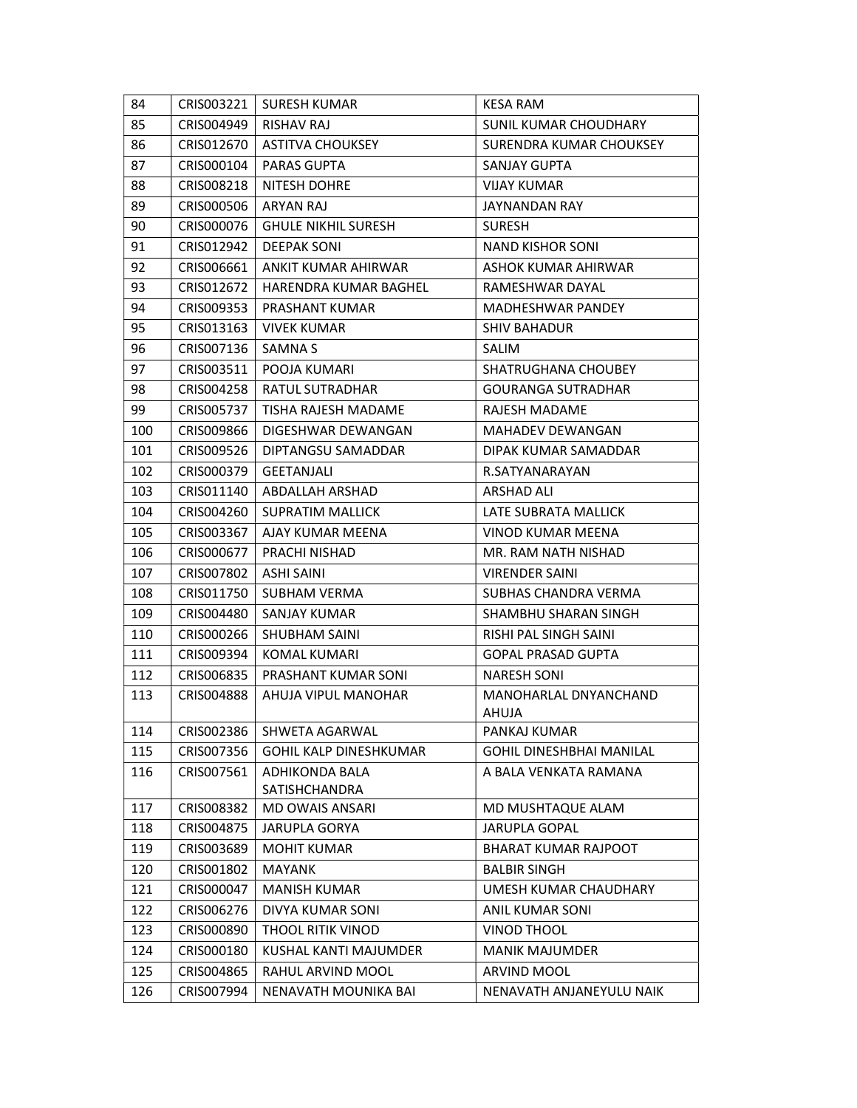| 84  | CRIS003221               | <b>SURESH KUMAR</b>           | <b>KESA RAM</b>                 |
|-----|--------------------------|-------------------------------|---------------------------------|
| 85  | CRIS004949               | RISHAV RAJ                    | SUNIL KUMAR CHOUDHARY           |
| 86  | CRIS012670               | ASTITVA CHOUKSEY              | SURENDRA KUMAR CHOUKSEY         |
| 87  | CRIS000104               | PARAS GUPTA                   | SANJAY GUPTA                    |
| 88  | CRIS008218               | NITESH DOHRE                  | <b>VIJAY KUMAR</b>              |
| 89  | CRIS000506               | ARYAN RAJ                     | JAYNANDAN RAY                   |
| 90  | CRIS000076               | <b>GHULE NIKHIL SURESH</b>    | <b>SURESH</b>                   |
| 91  | CRIS012942               | <b>DEEPAK SONI</b>            | <b>NAND KISHOR SONI</b>         |
| 92  | CRIS006661               | ANKIT KUMAR AHIRWAR           | ASHOK KUMAR AHIRWAR             |
| 93  | CRIS012672               | HARENDRA KUMAR BAGHEL         | RAMESHWAR DAYAL                 |
| 94  | CRIS009353               | PRASHANT KUMAR                | <b>MADHESHWAR PANDEY</b>        |
| 95  | CRIS013163               | VIVEK KUMAR                   | <b>SHIV BAHADUR</b>             |
| 96  | CRIS007136               | <b>SAMNA S</b>                | SALIM                           |
| 97  | CRIS003511               | POOJA KUMARI                  | <b>SHATRUGHANA CHOUBEY</b>      |
| 98  | CRIS004258               | RATUL SUTRADHAR               | <b>GOURANGA SUTRADHAR</b>       |
| 99  | CRIS005737               | TISHA RAJESH MADAME           | <b>RAJESH MADAME</b>            |
| 100 | CRIS009866               | DIGESHWAR DEWANGAN            | MAHADEV DEWANGAN                |
| 101 | CRIS009526               | DIPTANGSU SAMADDAR            | DIPAK KUMAR SAMADDAR            |
| 102 | CRIS000379               | GEETANJALI                    | R.SATYANARAYAN                  |
| 103 | CRIS011140               | ABDALLAH ARSHAD               | ARSHAD ALI                      |
| 104 | CRIS004260               | <b>SUPRATIM MALLICK</b>       | LATE SUBRATA MALLICK            |
| 105 | CRIS003367               | AJAY KUMAR MEENA              | VINOD KUMAR MEENA               |
| 106 | CRIS000677               | PRACHI NISHAD                 | MR. RAM NATH NISHAD             |
| 107 | CRIS007802               | ASHI SAINI                    | <b>VIRENDER SAINI</b>           |
| 108 | CRIS011750               | <b>SUBHAM VERMA</b>           | SUBHAS CHANDRA VERMA            |
| 109 | CRIS004480               | SANJAY KUMAR                  | SHAMBHU SHARAN SINGH            |
| 110 | CRIS000266               | <b>SHUBHAM SAINI</b>          | RISHI PAL SINGH SAINI           |
| 111 | CRIS009394               | <b>KOMAL KUMARI</b>           | <b>GOPAL PRASAD GUPTA</b>       |
| 112 | CRIS006835               | PRASHANT KUMAR SONI           | <b>NARESH SONI</b>              |
| 113 | CRIS004888               | AHUJA VIPUL MANOHAR           | MANOHARLAL DNYANCHAND           |
|     |                          |                               | AHUJA                           |
| 114 | CRIS002386               | SHWETA AGARWAL                | PANKAJ KUMAR                    |
| 115 | CRIS007356               | <b>GOHIL KALP DINESHKUMAR</b> | <b>GOHIL DINESHBHAI MANILAL</b> |
| 116 | CRIS007561               | ADHIKONDA BALA                | A BALA VENKATA RAMANA           |
|     |                          | <b>SATISHCHANDRA</b>          |                                 |
| 117 | CRIS008382<br>CRIS004875 | MD OWAIS ANSARI               | MD MUSHTAQUE ALAM               |
| 118 |                          | <b>JARUPLA GORYA</b>          | <b>JARUPLA GOPAL</b>            |
| 119 | CRIS003689               | <b>MOHIT KUMAR</b>            | <b>BHARAT KUMAR RAJPOOT</b>     |
| 120 | CRIS001802               | <b>MAYANK</b>                 | <b>BALBIR SINGH</b>             |
| 121 | CRIS000047               | <b>MANISH KUMAR</b>           | UMESH KUMAR CHAUDHARY           |
| 122 | CRIS006276               | DIVYA KUMAR SONI              | ANIL KUMAR SONI                 |
| 123 | CRIS000890               | THOOL RITIK VINOD             | <b>VINOD THOOL</b>              |
| 124 | CRIS000180               | KUSHAL KANTI MAJUMDER         | <b>MANIK MAJUMDER</b>           |
| 125 | CRISO04865               | RAHUL ARVIND MOOL             | ARVIND MOOL                     |
| 126 | CRIS007994               | NENAVATH MOUNIKA BAI          | NENAVATH ANJANEYULU NAIK        |